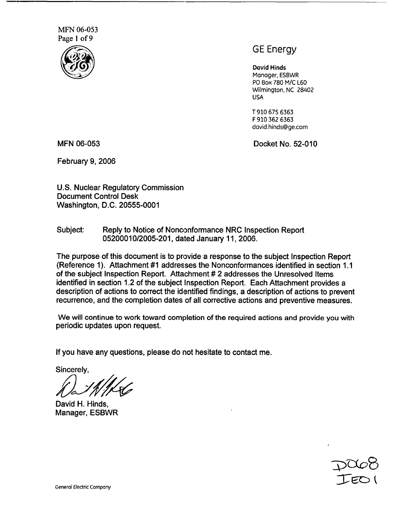MFN 06-053 Page 1 of 9



# GE Energy

David Hinds Manager, ESBWR PO Box 780 M/C L60 Wilmington, NC 28402 USA

T 910 675 6363 F 910 362 6363 david.hinds@ge.com

MFN 06-053 Docket No. 52-010

February 9, 2006

U.S. Nuclear Regulatory Commission Document Control Desk Washington, D.C. 20555-0001

Subject: Reply to Notice of Nonconformance NRC Inspection Report 05200010/2005-201, dated January 11, 2006.

The purpose of this document is to provide a response to the subject Inspection Report (Reference 1). Attachment #1 addresses the Nonconformances identified in section 1.1 of the subject Inspection Report. Attachment # 2 addresses the Unresolved Items identified in section 1.2 of the subject Inspection Report. Each Attachment provides a description of actions to correct the identified findings, a description of actions to prevent recurrence, and the completion dates of all corrective actions and preventive measures.

We will continue to work toward completion of the required actions and provide you with periodic updates upon request.

If you have any questions, please do not hesitate to contact me.

Sincerely,

David H. Hinds, Manager, ESBWR

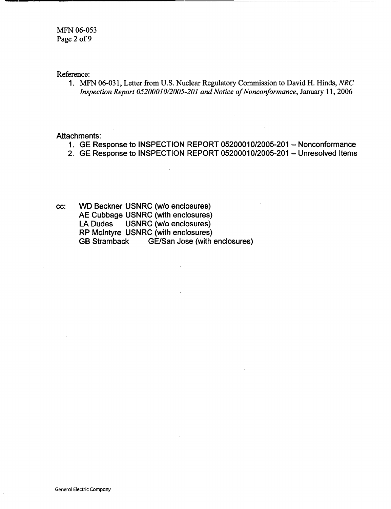Reference:

1. MFN 06-031, Letter from U.S. Nuclear Regulatory Commission to David H. Hinds, *NRC Inspection Report 05200010/2005-201 and Notice of Nonconformance,* January 11, 2006

Attachments:

- 1. GE Response to INSPECTION REPORT 05200010/2005-201 Nonconformance
- 2. GE Response to INSPECTION REPORT 05200010/2005-201 Unresolved Items
- cc: WD Beckner USNRC (w/o enclosures) AE Cubbage USNRC (with enclosures) LA Dudes USNRC (w/o enclosures) RP McIntyre USNRC (with enclosures) GB Stramback GE/San Jose (with enclosures)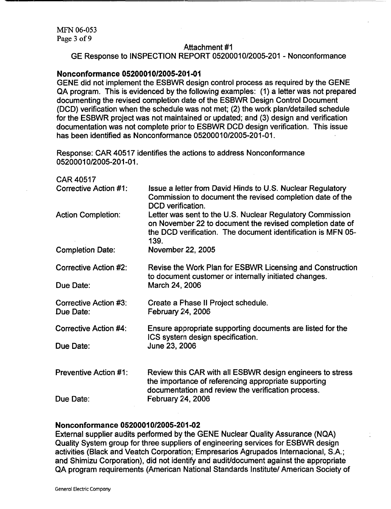#### Attachment #1

GE Response to INSPECTION REPORT 05200010/2005-201 - Nonconformance

### **Nonconformance 0520001012005-201-01**

GENE did not implement the ESBWR design control process as required by the GENE QA program. This is evidenced by the following examples: (1) a letter was not prepared documenting the revised completion date of the ESBWR Design Control Document (DCD) verification when the schedule was not met; (2) the work plan/detailed schedule for the ESBWR project was not maintained or updated; and (3) design and verification documentation was not complete prior to ESBWR DCD design verification. This issue has been identified as Nonconformance 05200010/2005-201-01.

Response: CAR 40517 identifies the actions to address Nonconformance 05200010/2005-201 -01.

| <b>CAR 40517</b>                          |                                                                                                                                                                                                |
|-------------------------------------------|------------------------------------------------------------------------------------------------------------------------------------------------------------------------------------------------|
| Corrective Action #1:                     | Issue a letter from David Hinds to U.S. Nuclear Regulatory<br>Commission to document the revised completion date of the<br>DCD verification.                                                   |
| <b>Action Completion:</b>                 | Letter was sent to the U.S. Nuclear Regulatory Commission<br>on November 22 to document the revised completion date of<br>the DCD verification. The document identification is MFN 05-<br>139. |
| <b>Completion Date:</b>                   | November 22, 2005                                                                                                                                                                              |
| Corrective Action #2:                     | Revise the Work Plan for ESBWR Licensing and Construction<br>to document customer or internally initiated changes.                                                                             |
| Due Date:                                 | March 24, 2006                                                                                                                                                                                 |
| <b>Corrective Action #3:</b><br>Due Date: | Create a Phase II Project schedule.<br>February 24, 2006                                                                                                                                       |
| <b>Corrective Action #4:</b>              | Ensure appropriate supporting documents are listed for the<br>ICS system design specification.                                                                                                 |
| Due Date:                                 | June 23, 2006                                                                                                                                                                                  |
| <b>Preventive Action #1:</b>              | Review this CAR with all ESBWR design engineers to stress<br>the importance of referencing appropriate supporting<br>documentation and review the verification process.                        |
| Due Date:                                 | February 24, 2006                                                                                                                                                                              |
|                                           |                                                                                                                                                                                                |

### **Nonconformance 05200010/2005-201-02**

External supplier audits performed by the GENE Nuclear Quality Assurance (NQA) Quality System group for three suppliers of engineering services for ESBWR design activities (Black and Veatch Corporation; Empresarios Agrupados Internacional, S.A.; and Shimizu Corporation), did not identify and audit/document against the appropriate QA program requirements (American National Standards Institute/ American Society of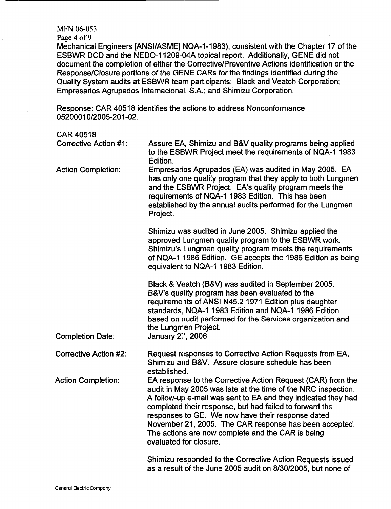#### MFN 06-053

Page 4 of 9

Mechanical Engineers [ANSI/ASME] NQA-1-1983), consistent with the Chapter 17 of the ESBWR DCD and the NEDO-1 1209-04A topical report. Additionally, GENE did not document the completion of either the Corrective/Preventive Actions identification or the Response/Closure portions of the GENE CARs for the findings identified during the Quality System audits at ESBWR team participants: Black and Veatch Corporation; Empresarios Agrupados Internacional, S.A.; and Shimizu Corporation.

Response: CAR 40518 identifies the actions to address Nonconformance 05200010/2005-201-02.

#### CAR 40518

| <b>Corrective Action #1:</b> | Assure EA, Shimizu and B&V quality programs being applied<br>to the ESBWR Project meet the requirements of NQA-1 1983<br>Edition.                                                                                                                                                                                                                                                                                                                      |
|------------------------------|--------------------------------------------------------------------------------------------------------------------------------------------------------------------------------------------------------------------------------------------------------------------------------------------------------------------------------------------------------------------------------------------------------------------------------------------------------|
| <b>Action Completion:</b>    | Empresarios Agrupados (EA) was audited in May 2005. EA<br>has only one quality program that they apply to both Lungmen<br>and the ESBWR Project. EA's quality program meets the<br>requirements of NQA-1 1983 Edition. This has been<br>established by the annual audits performed for the Lungmen<br>Project.                                                                                                                                         |
|                              | Shimizu was audited in June 2005. Shimizu applied the<br>approved Lungmen quality program to the ESBWR work.<br>Shimizu's Lungmen quality program meets the requirements<br>of NQA-1 1986 Edition. GE accepts the 1986 Edition as being<br>equivalent to NQA-1 1983 Edition.                                                                                                                                                                           |
| <b>Completion Date:</b>      | Black & Veatch (B&V) was audited in September 2005.<br>B&V's quality program has been evaluated to the<br>requirements of ANSI N45.2 1971 Edition plus daughter<br>standards, NQA-1 1983 Edition and NQA-1 1986 Edition<br>based on audit performed for the Services organization and<br>the Lungmen Project.<br><b>January 27, 2006</b>                                                                                                               |
| <b>Corrective Action #2:</b> | Request responses to Corrective Action Requests from EA,<br>Shimizu and B&V. Assure closure schedule has been<br>established.                                                                                                                                                                                                                                                                                                                          |
| <b>Action Completion:</b>    | EA response to the Corrective Action Request (CAR) from the<br>audit in May 2005 was late at the time of the NRC inspection.<br>A follow-up e-mail was sent to EA and they indicated they had<br>completed their response, but had failed to forward the<br>responses to GE. We now have their response dated<br>November 21, 2005. The CAR response has been accepted.<br>The actions are now complete and the CAR is being<br>evaluated for closure. |
|                              | Shimizu responded to the Corrective Action Requests issued<br>as a result of the June 2005 audit on 8/30/2005, but none of                                                                                                                                                                                                                                                                                                                             |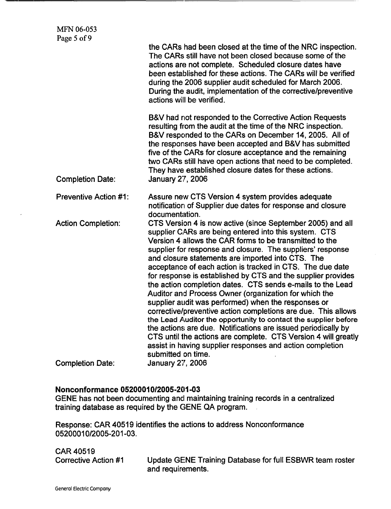|                              | the CARs had been closed at the time of the NRC inspection.<br>The CARs still have not been closed because some of the<br>actions are not complete. Scheduled closure dates have<br>been established for these actions. The CARs will be verified<br>during the 2006 supplier audit scheduled for March 2006.<br>During the audit, implementation of the corrective/preventive<br>actions will be verified.                                                                                                                                                                                                                                                                                                                                                                                                                                                                                                                                                            |
|------------------------------|------------------------------------------------------------------------------------------------------------------------------------------------------------------------------------------------------------------------------------------------------------------------------------------------------------------------------------------------------------------------------------------------------------------------------------------------------------------------------------------------------------------------------------------------------------------------------------------------------------------------------------------------------------------------------------------------------------------------------------------------------------------------------------------------------------------------------------------------------------------------------------------------------------------------------------------------------------------------|
| <b>Completion Date:</b>      | B&V had not responded to the Corrective Action Requests<br>resulting from the audit at the time of the NRC inspection.<br>B&V responded to the CARs on December 14, 2005. All of<br>the responses have been accepted and B&V has submitted<br>five of the CARs for closure acceptance and the remaining<br>two CARs still have open actions that need to be completed.<br>They have established closure dates for these actions.<br><b>January 27, 2006</b>                                                                                                                                                                                                                                                                                                                                                                                                                                                                                                            |
| <b>Preventive Action #1:</b> | Assure new CTS Version 4 system provides adequate<br>notification of Supplier due dates for response and closure<br>documentation.                                                                                                                                                                                                                                                                                                                                                                                                                                                                                                                                                                                                                                                                                                                                                                                                                                     |
| <b>Action Completion:</b>    | CTS Version 4 is now active (since September 2005) and all<br>supplier CARs are being entered into this system. CTS<br>Version 4 allows the CAR forms to be transmitted to the<br>supplier for response and closure. The suppliers' response<br>and closure statements are imported into CTS. The<br>acceptance of each action is tracked in CTS. The due date<br>for response is established by CTS and the supplier provides<br>the action completion dates. CTS sends e-mails to the Lead<br>Auditor and Process Owner (organization for which the<br>supplier audit was performed) when the responses or<br>corrective/preventive action completions are due. This allows<br>the Lead Auditor the opportunity to contact the supplier before<br>the actions are due. Notifications are issued periodically by<br>CTS until the actions are complete. CTS Version 4 will greatly<br>assist in having supplier responses and action completion<br>submitted on time. |
| <b>Completion Date:</b>      | January 27, 2006                                                                                                                                                                                                                                                                                                                                                                                                                                                                                                                                                                                                                                                                                                                                                                                                                                                                                                                                                       |

# **Nonconformance 05200010/2005-201-03**

GENE has not been documenting and maintaining training records in a centralized training database as required by the GENE QA program.

Response: CAR 40519 identifies the actions to address Nonconformance 05200010/2005-201-03.

CAR 40519

Corrective Action #1 Update GENE Training Database for full ESBWR team roster and requirements.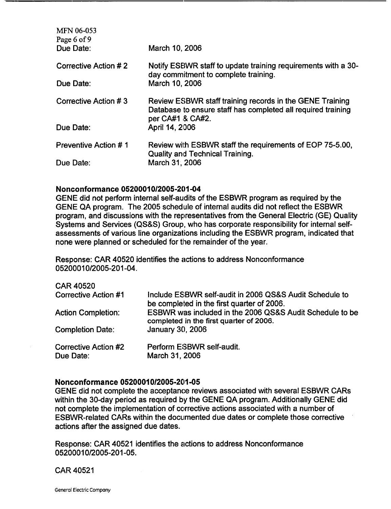| <b>MFN 06-053</b><br>Page 6 of 9 |                                                                                                                                              |
|----------------------------------|----------------------------------------------------------------------------------------------------------------------------------------------|
| Due Date:                        | March 10, 2006                                                                                                                               |
| Corrective Action #2             | Notify ESBWR staff to update training requirements with a 30-<br>day commitment to complete training.                                        |
| Due Date:                        | March 10, 2006                                                                                                                               |
| Corrective Action #3             | Review ESBWR staff training records in the GENE Training<br>Database to ensure staff has completed all required training<br>per CA#1 & CA#2. |
| Due Date:                        | April 14, 2006                                                                                                                               |
| <b>Preventive Action #1</b>      | Review with ESBWR staff the requirements of EOP 75-5.00,<br><b>Quality and Technical Training.</b>                                           |
| Due Date:                        | March 31, 2006                                                                                                                               |

### Nonconformance 05200010/2005-201-04

GENE did not perform internal self-audits of the ESBWR program as required by the GENE QA program. The 2005 schedule of internal audits did not reflect the ESBWR program, and discussions with the representatives from the General Electric (GE) Quality Systems and Services (QS&S) Group, who has corporate responsibility for internal selfassessments of various line organizations including the ESBWR program, indicated that none were planned or scheduled for the remainder of the year.

Response: CAR 40520 identifies the actions to address Nonconformance 05200010/2005-201-04.

CAR 40520

| Corrective Action #1      | Include ESBWR self-audit in 2006 QS&S Audit Schedule to<br>be completed in the first quarter of 2006. |
|---------------------------|-------------------------------------------------------------------------------------------------------|
| <b>Action Completion:</b> | ESBWR was included in the 2006 QS&S Audit Schedule to be<br>completed in the first quarter of 2006.   |
| <b>Completion Date:</b>   | January 30, 2006                                                                                      |
|                           | $D_{\text{max}}$                                                                                      |

| Corrective Action #2 | Perform ESBWR self-audit. |
|----------------------|---------------------------|
| Due Date:            | March 31, 2006            |

# Nonconformance 05200010/2005-201-05

GENE did not complete the acceptance reviews associated with several ESBWR CARs within the 30-day period as required by the GENE QA program. Additionally GENE did not complete the implementation of corrective actions associated with a number of ESBWR-related CARs within the documented due dates or complete those corrective actions after the assigned due dates.

Response: CAR 40521 identifies the actions to address Nonconformance 05200010/2005-201-05.

CAR 40521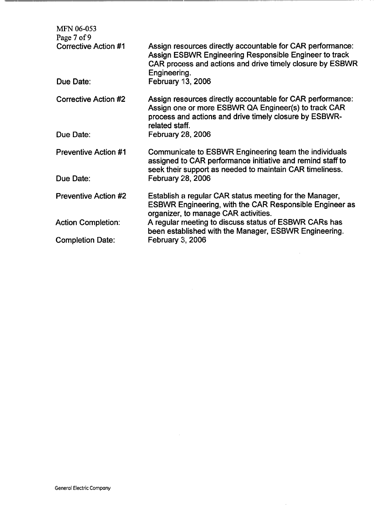| <b>MFN 06-053</b><br>Page 7 of 9 |                                                                                                                                                                                                   |
|----------------------------------|---------------------------------------------------------------------------------------------------------------------------------------------------------------------------------------------------|
| <b>Corrective Action #1</b>      | Assign resources directly accountable for CAR performance:<br>Assign ESBWR Engineering Responsible Engineer to track<br>CAR process and actions and drive timely closure by ESBWR<br>Engineering. |
| Due Date:                        | February 13, 2006                                                                                                                                                                                 |
| <b>Corrective Action #2</b>      | Assign resources directly accountable for CAR performance:<br>Assign one or more ESBWR QA Engineer(s) to track CAR<br>process and actions and drive timely closure by ESBWR-<br>related staff.    |
| Due Date:                        | February 28, 2006                                                                                                                                                                                 |
| <b>Preventive Action #1</b>      | Communicate to ESBWR Engineering team the individuals<br>assigned to CAR performance initiative and remind staff to<br>seek their support as needed to maintain CAR timeliness.                   |
| Due Date:                        | February 28, 2006                                                                                                                                                                                 |
| <b>Preventive Action #2</b>      | Establish a regular CAR status meeting for the Manager,<br><b>ESBWR Engineering, with the CAR Responsible Engineer as</b><br>organizer, to manage CAR activities.                                 |
| <b>Action Completion:</b>        | A regular meeting to discuss status of ESBWR CARs has<br>been established with the Manager, ESBWR Engineering.                                                                                    |
| <b>Completion Date:</b>          | February 3, 2006                                                                                                                                                                                  |

 $\sim$   $\mu$  .

 $\hat{\boldsymbol{\beta}}$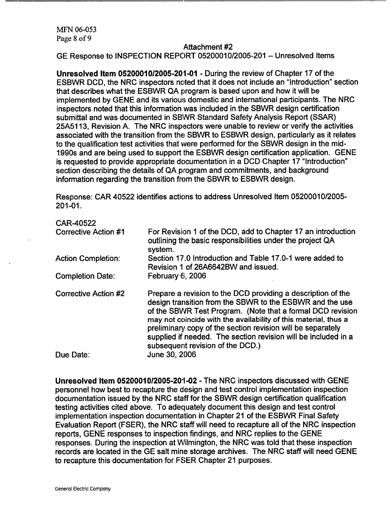#### Attachment #2

GE Response to INSPECTION REPORT 05200010/2005-201 - Unresolved Items

**Unresolved** Item **0520001012005-201-01** - During the review of Chapter 17 of the ESBWR DCD, the NRC inspectors noted that it does not include an "Introduction" section that describes what the ESBWR QA program is based upon and how it will be implemented by GENE and its various domestic and international participants. The NRC inspectors noted that this information was included in the SBWR design certification submittal and was documented in SBWR Standard Safety Analysis Report (SSAR) 25A5113, Revision A. The NRC inspectors were unable to review or verify the activities associated with the transition from the SBWR to ESBWR design, particularly as it relates to the qualification test activities that were performed for the SBWR design in the mid-1990s and are being used to support the ESBWR design certification application. GENE is requested to provide appropriate documentation in a DCD Chapter 17 "Introduction" section describing the details of QA program and commitments, and background information regarding the transition from the SBWR to ESBWR design.

Response: CAR 40522 identifies actions to address Unresolved Item 05200010/2005- 201-01.

| CAR-40522<br><b>Corrective Action #1</b> | For Revision 1 of the DCD, add to Chapter 17 an introduction<br>outlining the basic responsibilities under the project QA                                                                                                                                                                                                                                                                                                                       |
|------------------------------------------|-------------------------------------------------------------------------------------------------------------------------------------------------------------------------------------------------------------------------------------------------------------------------------------------------------------------------------------------------------------------------------------------------------------------------------------------------|
| <b>Action Completion:</b>                | system.<br>Section 17.0 Introduction and Table 17.0-1 were added to<br>Revision 1 of 26A6642BW and issued.                                                                                                                                                                                                                                                                                                                                      |
| <b>Completion Date:</b>                  | February $6, 2006$                                                                                                                                                                                                                                                                                                                                                                                                                              |
| <b>Corrective Action #2</b><br>Due Date: | Prepare a revision to the DCD providing a description of the<br>design transition from the SBWR to the ESBWR and the use<br>of the SBWR Test Program. (Note that a formal DCD revision<br>may not coincide with the availability of this material, thus a<br>preliminary copy of the section revision will be separately<br>supplied if needed. The section revision will be included in a<br>subsequent revision of the DCD.)<br>June 30, 2006 |
|                                          |                                                                                                                                                                                                                                                                                                                                                                                                                                                 |

**Unresolved** Item **05200010/2005-201-02** - The NRC inspectors discussed with GENE personnel how best to recapture the design and test control implementation inspection documentation issued by the NRC staff for the SBWR design certification qualification testing activities cited above. To adequately document this design and test control implementation inspection documentation in Chapter 21 of the ESBWR Final Safety Evaluation Report (FSER), the NRC staff will need to recapture all of the NRC inspection reports, GENE responses to inspection findings, and NRC replies to the GENE responses. During the inspection at Wilmington, the NRC was told that these inspection records are located in the GE salt mine storage archives. The NRC staff will need GENE to recapture this documentation for FSER Chapter 21 purposes.